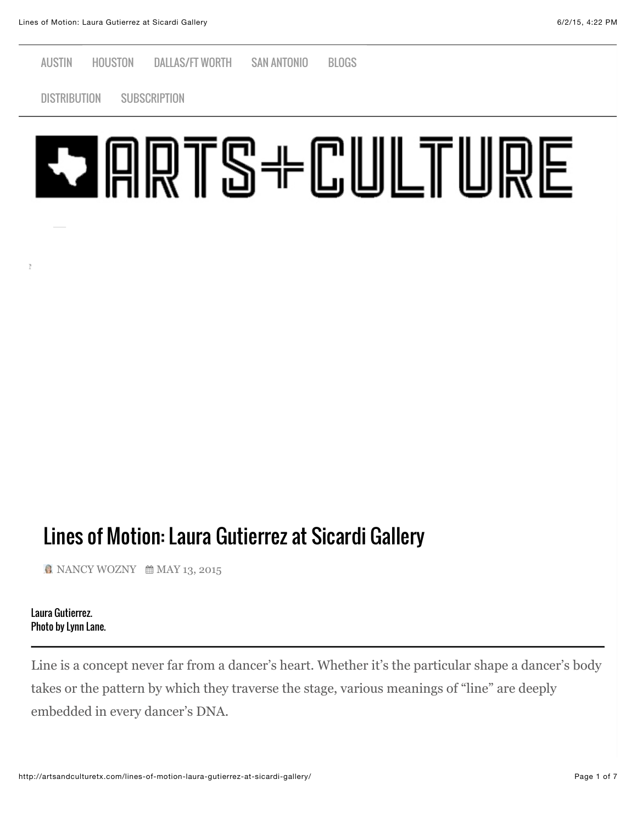[AUSTIN](http://artsandculturetx.com/category/austin/) [HOUSTON](http://artsandculturetx.com/category/houston-2/) [DALLAS/FT WORTH](http://artsandculturetx.com/category/dallas-ftworth/) [SAN ANTONIO](http://artsandculturetx.com/category/san-antonio/) [BLOGS](http://artsandculturetx.com/category/blog/)

[DISTRIBUTION](http://artsandculturetx.com/distribution2/) [SUBSCRIPTION](http://artsandculturetx.com/product/arts-and-culture-magazine-subscription/)



## Lines of Motion: Laura Gutierrez at Sicardi Gallery

[NANCY WOZNY](http://artsandculturetx.com/author/nancy-wozny/) *AMAY* 13, 2015

Laura Gutierrez. Photo by Lynn Lane.

**NEW ARTICLES**

Line is a concept never far from a dancer's heart. Whether it's the particular shape a dancer's body takes or the pattern by which they traverse the stage, various meanings of "line" are deeply embedded in every dancer's DNA.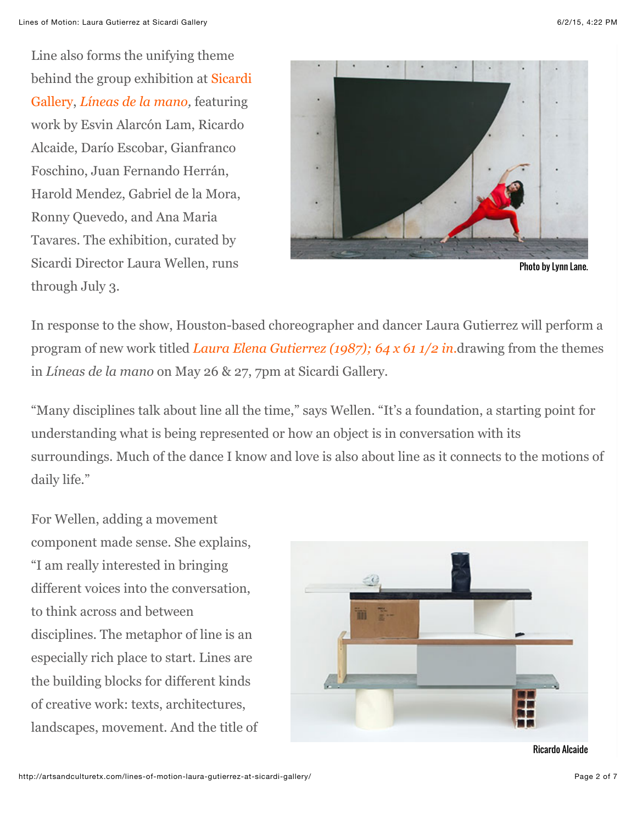Line also forms the unifying theme [behind the group exhibition at Sicardi](http://www.sicardi.com/) Gallery, *[Líneas de la mano,](http://www.sicardi.com/exhibitions/2015-05-12_lneas-de-la-mano/exhibitions-artist-works/)* featuring work by Esvin Alarcón Lam, Ricardo Alcaide, Darío Escobar, Gianfranco Foschino, Juan Fernando Herrán, Harold Mendez, Gabriel de la Mora, Ronny Quevedo, and Ana Maria Tavares. The exhibition, curated by Sicardi Director Laura Wellen, runs through July 3.



Photo by Lynn Lane.

In response to the show, Houston-based choreographer and dancer Laura Gutierrez will perform a program of new work titled *[Laura Elena Gutierrez \(1987\); 64 x 61 1/2 in.](http://ennouncement.exhibit-e.com/t/y-82CDA93B009008DF)*drawing from the themes in *Líneas de la mano* on May 26 & 27, 7pm at Sicardi Gallery.

"Many disciplines talk about line all the time," says Wellen. "It's a foundation, a starting point for understanding what is being represented or how an object is in conversation with its surroundings. Much of the dance I know and love is also about line as it connects to the motions of daily life."

For Wellen, adding a movement component made sense. She explains, "I am really interested in bringing different voices into the conversation, to think across and between disciplines. The metaphor of line is an especially rich place to start. Lines are the building blocks for different kinds of creative work: texts, architectures, landscapes, movement. And the title of



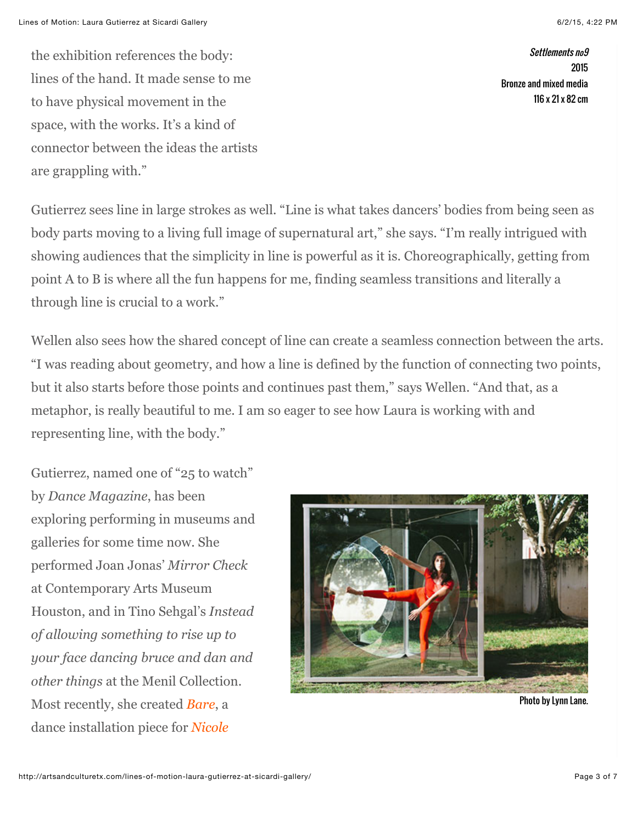the exhibition references the body: lines of the hand. It made sense to me to have physical movement in the space, with the works. It's a kind of connector between the ideas the artists are grappling with."

Settlements no9 2015 Bronze and mixed media 116 x 21 x 82 cm

Gutierrez sees line in large strokes as well. "Line is what takes dancers' bodies from being seen as body parts moving to a living full image of supernatural art," she says. "I'm really intrigued with showing audiences that the simplicity in line is powerful as it is. Choreographically, getting from point A to B is where all the fun happens for me, finding seamless transitions and literally a through line is crucial to a work."

Wellen also sees how the shared concept of line can create a seamless connection between the arts. "I was reading about geometry, and how a line is defined by the function of connecting two points, but it also starts before those points and continues past them," says Wellen. "And that, as a metaphor, is really beautiful to me. I am so eager to see how Laura is working with and representing line, with the body."

Gutierrez, named one of "25 to watch" by *Dance Magazine*, has been exploring performing in museums and galleries for some time now. She performed Joan Jonas' *Mirror Check* at Contemporary Arts Museum Houston, and in Tino Sehgal's *Instead of allowing something to rise up to your face dancing bruce and dan and other things* at the Menil Collection. Most recently, she created *[Bare](http://artsandculturetx.com/dances-in-a-gallery-people/)*, a [dance installation piece for](http://artsandculturetx.com/dances-in-a-gallery/) *Nicole*



Photo by Lynn Lane.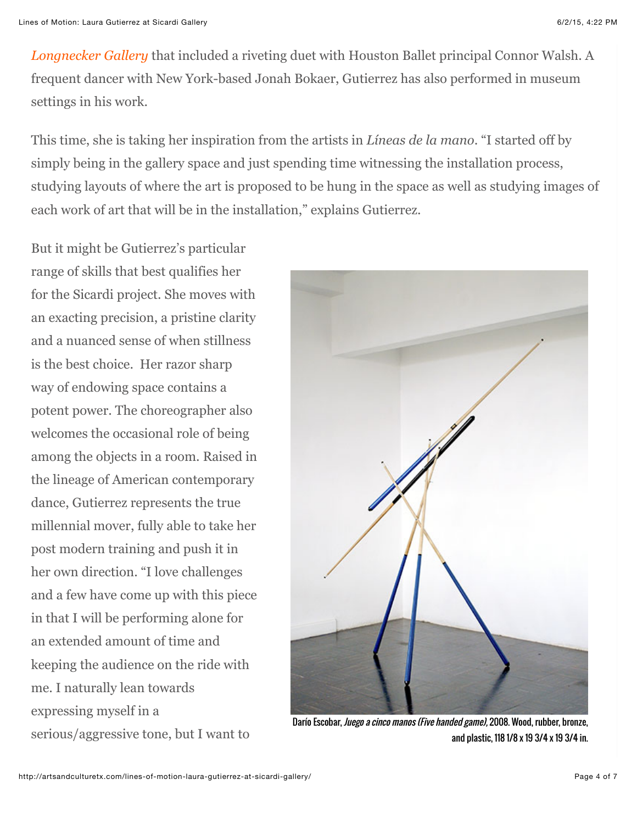*[Longnecker Gallery](http://artsandculturetx.com/dances-in-a-gallery/)* that included a riveting duet with Houston Ballet principal Connor Walsh. A frequent dancer with New York-based Jonah Bokaer, Gutierrez has also performed in museum settings in his work.

This time, she is taking her inspiration from the artists in *Líneas de la mano*. "I started off by simply being in the gallery space and just spending time witnessing the installation process, studying layouts of where the art is proposed to be hung in the space as well as studying images of each work of art that will be in the installation," explains Gutierrez.

But it might be Gutierrez's particular range of skills that best qualifies her for the Sicardi project. She moves with an exacting precision, a pristine clarity and a nuanced sense of when stillness is the best choice. Her razor sharp way of endowing space contains a potent power. The choreographer also welcomes the occasional role of being among the objects in a room. Raised in the lineage of American contemporary dance, Gutierrez represents the true millennial mover, fully able to take her post modern training and push it in her own direction. "I love challenges and a few have come up with this piece in that I will be performing alone for an extended amount of time and keeping the audience on the ride with me. I naturally lean towards expressing myself in a serious/aggressive tone, but I want to



Darío Escobar, *Juego a cinco manos (Five handed game)*, 2008. Wood, rubber, bronze, and plastic, 118 1/8 x 19 3/4 x 19 3/4 in.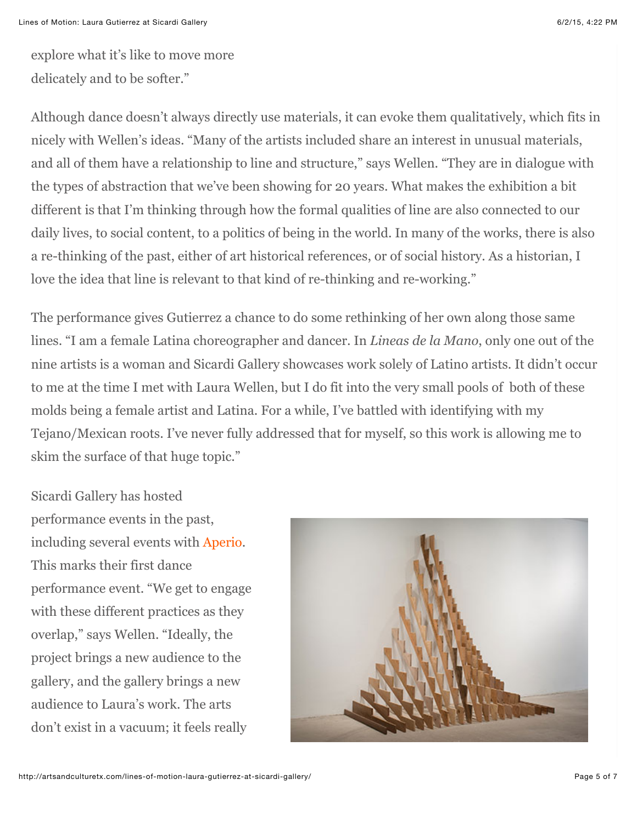explore what it's like to move more delicately and to be softer."

Although dance doesn't always directly use materials, it can evoke them qualitatively, which fits in nicely with Wellen's ideas. "Many of the artists included share an interest in unusual materials, and all of them have a relationship to line and structure," says Wellen. "They are in dialogue with the types of abstraction that we've been showing for 20 years. What makes the exhibition a bit different is that I'm thinking through how the formal qualities of line are also connected to our daily lives, to social content, to a politics of being in the world. In many of the works, there is also a re-thinking of the past, either of art historical references, or of social history. As a historian, I love the idea that line is relevant to that kind of re-thinking and re-working."

The performance gives Gutierrez a chance to do some rethinking of her own along those same lines. "I am a female Latina choreographer and dancer. In *Lineas de la Mano*, only one out of the nine artists is a woman and Sicardi Gallery showcases work solely of Latino artists. It didn't occur to me at the time I met with Laura Wellen, but I do fit into the very small pools of both of these molds being a female artist and Latina. For a while, I've battled with identifying with my Tejano/Mexican roots. I've never fully addressed that for myself, so this work is allowing me to skim the surface of that huge topic."

Sicardi Gallery has hosted performance events in the past, including several events with [Aperio.](http://www.aperioamericas.org/) This marks their first dance performance event. "We get to engage with these different practices as they overlap," says Wellen. "Ideally, the project brings a new audience to the gallery, and the gallery brings a new audience to Laura's work. The arts don't exist in a vacuum; it feels really